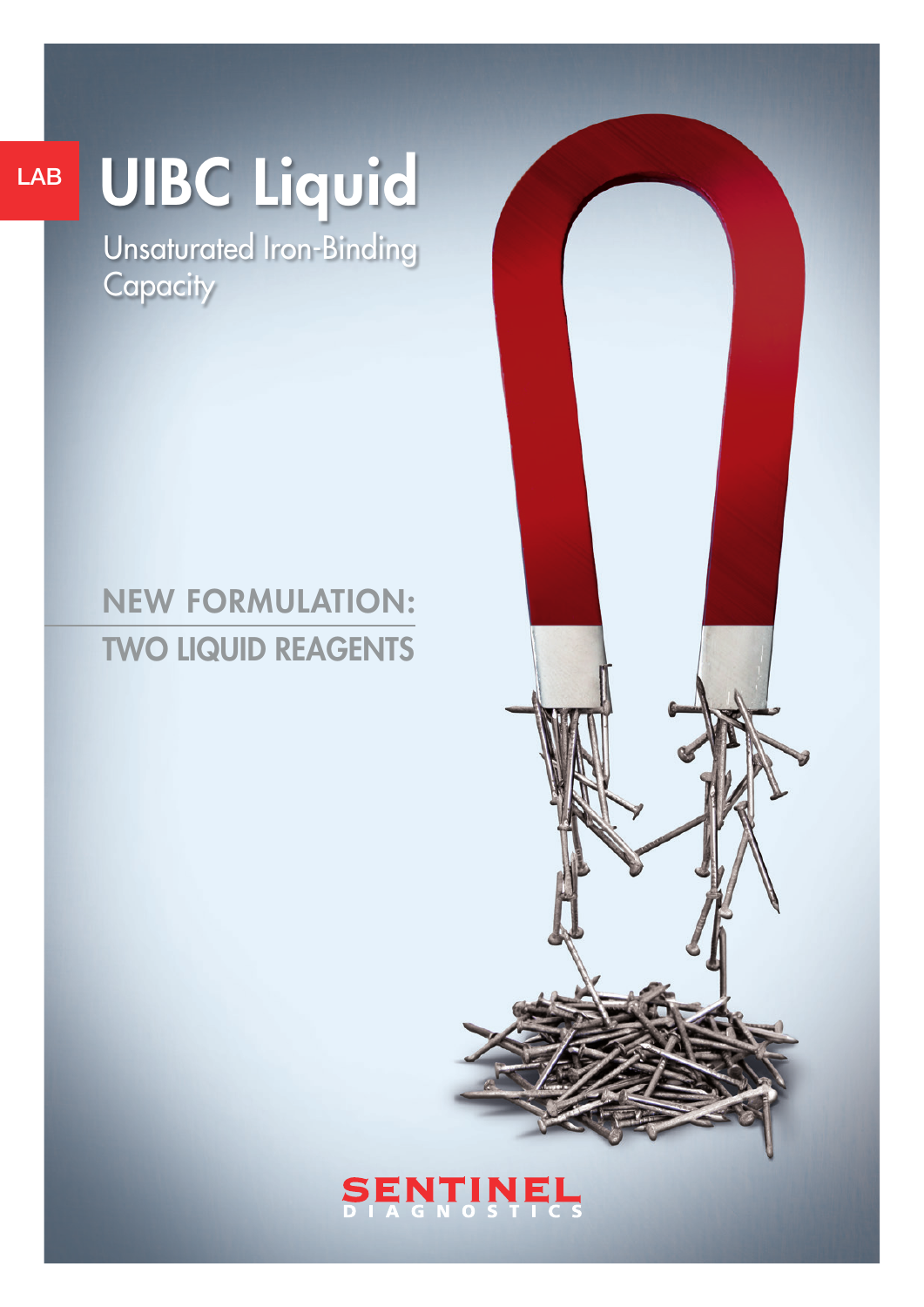## LAB

# UIBC Liquid

Unsaturated Iron-Binding **Capacity** 

## NEW FORMULATION: TWO LIQUID REAGENTS